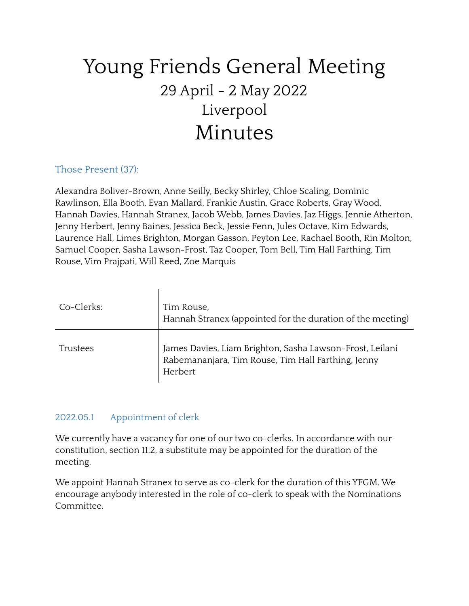# Young Friends General Meeting 29 April - 2 May 2022 Liverpool Minutes

# Those Present (37):

Alexandra Boliver-Brown, Anne Seilly, Becky Shirley, Chloe Scaling, Dominic Rawlinson, Ella Booth, Evan Mallard, Frankie Austin, Grace Roberts, GrayWood, Hannah Davies, Hannah Stranex, Jacob Webb, James Davies, Jaz Higgs, Jennie Atherton, Jenny Herbert, Jenny Baines, Jessica Beck, Jessie Fenn, Jules Octave, Kim Edwards, Laurence Hall, Limes Brighton, Morgan Gasson, Peyton Lee, Rachael Booth, Rin Molton, Samuel Cooper, Sasha Lawson-Frost, Taz Cooper, Tom Bell, Tim Hall Farthing, Tim Rouse, Vim Prajpati, Will Reed, Zoe Marquis

| Co-Clerks: | Tim Rouse,<br>Hannah Stranex (appointed for the duration of the meeting)                                                  |
|------------|---------------------------------------------------------------------------------------------------------------------------|
| Trustees   | James Davies, Liam Brighton, Sasha Lawson-Frost, Leilani<br>Rabemananjara, Tim Rouse, Tim Hall Farthing, Jenny<br>Herbert |

## 2022.05.1 Appointment of clerk

We currently have a vacancy for one of our two co-clerks. In accordance with our constitution, section 11.2, a substitute may be appointed for the duration of the meeting.

We appoint Hannah Stranex to serve as co-clerk for the duration of this YFGM. We encourage anybody interested in the role of co-clerk to speak with the Nominations Committee.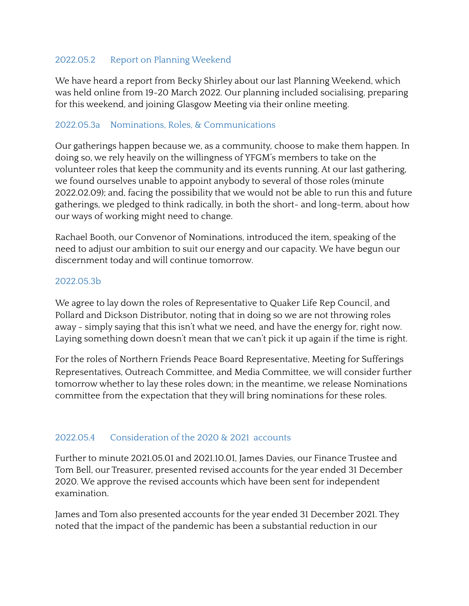# 2022.05.2 Report on Planning Weekend

We have heard a report from Becky Shirley about our last Planning Weekend, which was held online from 19-20 March 2022. Our planning included socialising, preparing for this weekend, and joining Glasgow Meeting via their online meeting.

# 2022.05.3a Nominations, Roles, & Communications

Our gatherings happen because we, as a community, choose to make them happen. In doing so, we rely heavily on the willingness of YFGM's members to take on the volunteer roles that keep the community and its events running. At our last gathering, we found ourselves unable to appoint anybody to several of those roles (minute 2022.02.09); and, facing the possibility that we would not be able to run this and future gatherings, we pledged to think radically, in both the short- and long-term, about how our ways of working might need to change.

Rachael Booth, our Convenor of Nominations, introduced the item, speaking of the need to adjust our ambition to suit our energy and our capacity. We have begun our discernment today and will continue tomorrow.

### 2022.05.3b

We agree to lay down the roles of Representative to Quaker Life Rep Council, and Pollard and Dickson Distributor, noting that in doing so we are not throwing roles away - simply saying that this isn't what we need, and have the energy for, right now. Laying something down doesn't mean that we can't pick it up again if the time is right.

For the roles of Northern Friends Peace Board Representative, Meeting for Sufferings Representatives, Outreach Committee, and Media Committee, we will consider further tomorrow whether to lay these roles down; in the meantime, we release Nominations committee from the expectation that they will bring nominations for these roles.

# 2022.05.4 Consideration of the 2020 & 2021 accounts

Further to minute 2021.05.01 and 2021.10.01, James Davies, our Finance Trustee and Tom Bell, our Treasurer, presented revised accounts for the year ended 31 December 2020. We approve the revised accounts which have been sent for independent examination.

James and Tom also presented accounts for the year ended 31 December 2021. They noted that the impact of the pandemic has been a substantial reduction in our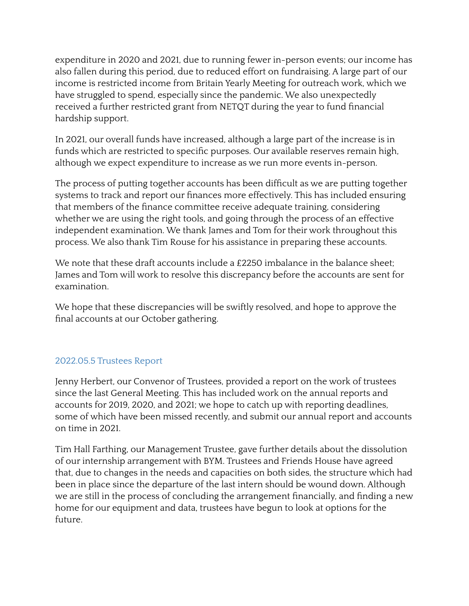expenditure in 2020 and 2021, due to running fewer in-person events; our income has also fallen during this period, due to reduced effort on fundraising. A large part of our income is restricted income from Britain Yearly Meeting for outreach work, which we have struggled to spend, especially since the pandemic. We also unexpectedly received a further restricted grant from NETQT during the year to fund financial hardship support.

In 2021, our overall funds have increased, although a large part of the increase is in funds which are restricted to specific purposes. Our available reserves remain high, although we expect expenditure to increase as we run more events in-person.

The process of putting together accounts has been difficult as we are putting together systems to track and report our finances more effectively. This has included ensuring that members of the finance committee receive adequate training, considering whether we are using the right tools, and going through the process of an effective independent examination. We thank James and Tom for their work throughout this process. We also thank Tim Rouse for his assistance in preparing these accounts.

We note that these draft accounts include a £2250 imbalance in the balance sheet: James and Tom will work to resolve this discrepancy before the accounts are sent for examination.

We hope that these discrepancies will be swiftly resolved, and hope to approve the final accounts at our October gathering.

## 2022.05.5 Trustees Report

Jenny Herbert, our Convenor of Trustees, provided a report on the work of trustees since the last General Meeting. This has included work on the annual reports and accounts for 2019, 2020, and 2021; we hope to catch up with reporting deadlines, some of which have been missed recently, and submit our annual report and accounts on time in 2021.

Tim Hall Farthing, our Management Trustee, gave further details about the dissolution of our internship arrangement with BYM. Trustees and Friends House have agreed that, due to changes in the needs and capacities on both sides, the structure which had been in place since the departure of the last intern should be wound down. Although we are still in the process of concluding the arrangement financially, and finding a new home for our equipment and data, trustees have begun to look at options for the future.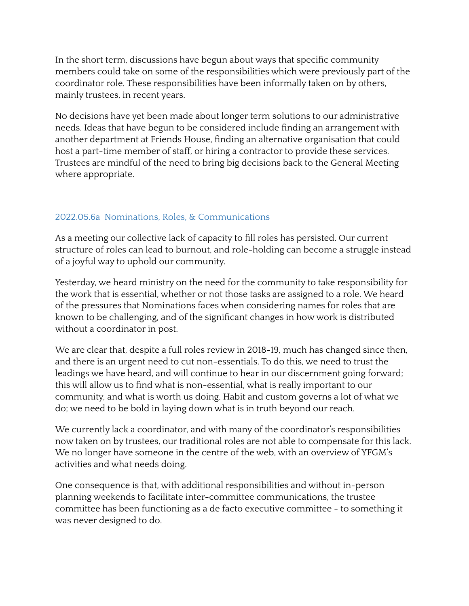In the short term, discussions have begun about ways that specific community members could take on some of the responsibilities which were previously part of the coordinator role. These responsibilities have been informally taken on by others, mainly trustees, in recent years.

No decisions have yet been made about longer term solutions to our administrative needs. Ideas that have begun to be considered include finding an arrangement with another department at Friends House, finding an alternative organisation that could host a part-time member of staff, or hiring a contractor to provide these services. Trustees are mindful of the need to bring big decisions back to the General Meeting where appropriate.

# 2022.05.6a Nominations, Roles, & Communications

As a meeting our collective lack of capacity to fill roles has persisted. Our current structure of roles can lead to burnout, and role-holding can become a struggle instead of a joyful way to uphold our community.

Yesterday, we heard ministry on the need for the community to take responsibility for the work that is essential, whether or not those tasks are assigned to a role. We heard of the pressures that Nominations faces when considering names for roles that are known to be challenging, and of the significant changes in how work is distributed without a coordinator in post.

We are clear that, despite a full roles review in 2018-19, much has changed since then, and there is an urgent need to cut non-essentials. To do this, we need to trust the leadings we have heard, and will continue to hear in our discernment going forward; this will allow us to find what is non-essential, what is really important to our community, and what is worth us doing. Habit and custom governs a lot of what we do; we need to be bold in laying down what is in truth beyond our reach.

We currently lack a coordinator, and with many of the coordinator's responsibilities now taken on by trustees, our traditional roles are not able to compensate for this lack. We no longer have someone in the centre of the web, with an overview of YFGM's activities and what needs doing.

One consequence is that, with additional responsibilities and without in-person planning weekends to facilitate inter-committee communications, the trustee committee has been functioning as a de facto executive committee - to something it was never designed to do.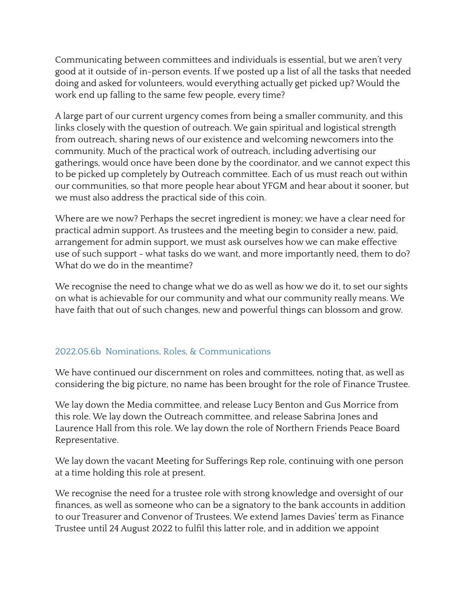Communicating between committees and individuals is essential, but we aren't very good at it outside of in-person events. If we posted up a list of all the tasks that needed doing and asked for volunteers, would everything actually get picked up? Would the work end up falling to the same few people, every time?

A large part of our current urgency comes from being a smaller community, and this links closely with the question of outreach. We gain spiritual and logistical strength from outreach, sharing news of our existence and welcoming newcomers into the community. Much of the practical work of outreach, including advertising our gatherings, would once have been done by the coordinator, and we cannot expect this to be picked up completely by Outreach committee. Each of us must reach out within our communities, so that more people hear about YFGM and hear about it sooner, but we must also address the practical side of this coin.

Where are we now? Perhaps the secret ingredient is money; we have a clear need for practical admin support. As trustees and the meeting begin to consider a new, paid, arrangement for admin support, we must ask ourselves how we can make effective use of such support - what tasks do we want, and more importantly need, them to do? What do we do in the meantime?

We recognise the need to change what we do as well as how we do it, to set our sights on what is achievable for our community and what our community really means. We have faith that out of such changes, new and powerful things can blossom and grow.

## 2022.05.6b Nominations, Roles, & Communications

We have continued our discernment on roles and committees, noting that, as well as considering the big picture, no name has been brought for the role of Finance Trustee.

We lay down the Media committee, and release Lucy Benton and Gus Morrice from this role. We lay down the Outreach committee, and release Sabrina Jones and Laurence Hall from this role. We lay down the role of Northern Friends Peace Board Representative.

We lay down the vacant Meeting for Sufferings Rep role, continuing with one person at a time holding this role at present.

We recognise the need for a trustee role with strong knowledge and oversight of our finances, as well as someone who can be a signatory to the bank accounts in addition to our Treasurer and Convenor of Trustees. We extend James Davies' term as Finance Trustee until 24 August 2022 to fulfil this latter role, and in addition we appoint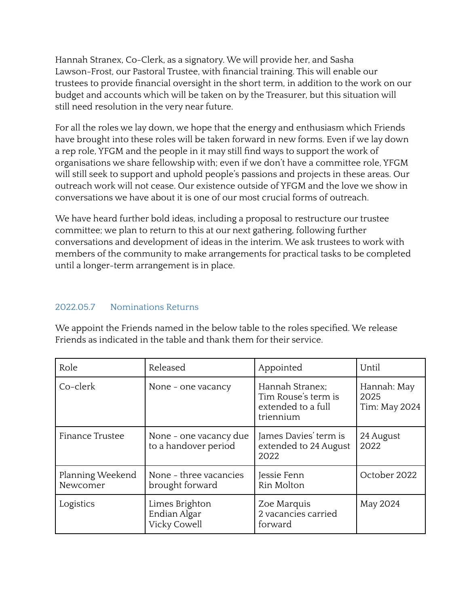Hannah Stranex, Co-Clerk, as a signatory. We will provide her, and Sasha Lawson-Frost, our Pastoral Trustee, with financial training. This will enable our trustees to provide financial oversight in the short term, in addition to the work on our budget and accounts which will be taken on by the Treasurer, but this situation will still need resolution in the very near future.

For all the roles we lay down, we hope that the energy and enthusiasm which Friends have brought into these roles will be taken forward in new forms. Even if we lay down a rep role, YFGM and the people in it may still find ways to support the work of organisations we share fellowship with; even if we don't have a committee role, YFGM will still seek to support and uphold people's passions and projects in these areas. Our outreach work will not cease. Our existence outside of YFGM and the love we show in conversations we have about it is one of our most crucial forms of outreach.

We have heard further bold ideas, including a proposal to restructure our trustee committee; we plan to return to this at our next gathering, following further conversations and development of ideas in the interim. We ask trustees to work with members of the community to make arrangements for practical tasks to be completed until a longer-term arrangement is in place.

# 2022.05.7 Nominations Returns

We appoint the Friends named in the below table to the roles specified. We release Friends as indicated in the table and thank them for their service.

| Role                         | Released                                       | Appointed                                                                 | Until                                |
|------------------------------|------------------------------------------------|---------------------------------------------------------------------------|--------------------------------------|
| Co-clerk                     | None - one vacancy                             | Hannah Stranex;<br>Tim Rouse's term is<br>extended to a full<br>triennium | Hannah: May<br>2025<br>Tim: May 2024 |
| Finance Trustee              | None - one vacancy due<br>to a handover period | James Davies' term is<br>extended to 24 August<br>2022                    | 24 August<br>2022                    |
| Planning Weekend<br>Newcomer | None - three vacancies<br>brought forward      | Jessie Fenn<br>Rin Molton                                                 | October 2022                         |
| Logistics                    | Limes Brighton<br>Endian Algar<br>Vicky Cowell | Zoe Marquis<br>2 vacancies carried<br>forward                             | May 2024                             |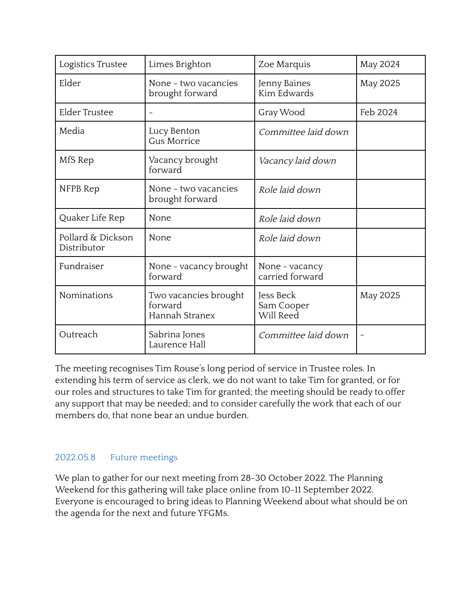| Logistics Trustee                | Limes Brighton                                     | Zoe Marquis                          | <b>May 2024</b> |
|----------------------------------|----------------------------------------------------|--------------------------------------|-----------------|
| Elder                            | None - two vacancies<br>brought forward            | Jenny Baines<br>Kim Edwards          | May 2025        |
| <b>Elder Trustee</b>             |                                                    | Gray Wood                            | Feb 2024        |
| Media                            | Lucy Benton<br>Gus Morrice                         | Committee laid down                  |                 |
| MfS Rep                          | Vacancy brought<br>forward                         | Vacancy laid down                    |                 |
| NFPB Rep                         | None - two vacancies<br>brought forward            | Role laid down                       |                 |
| Quaker Life Rep                  | None                                               | Role laid down                       |                 |
| Pollard & Dickson<br>Distributor | None                                               | Role laid down                       |                 |
| Fundraiser                       | None - vacancy brought<br>forward                  | None - vacancy<br>carried forward    |                 |
| Nominations                      | Two vacancies brought<br>forward<br>Hannah Stranex | Jess Beck<br>Sam Cooper<br>Will Reed | May 2025        |
| Outreach                         | Sabrina Jones<br>Laurence Hall                     | Committee laid down                  |                 |

The meeting recognises Tim Rouse's long period of service in Trustee roles. In extending his term of service as clerk, we do not want to take Tim for granted, or for our roles and structures to take Tim for granted; the meeting should be ready to offer any support that may be needed; and to consider carefully the work that each of our members do, that none bear an undue burden.

# 2022.05.8 Future meetings

We plan to gather for our next meeting from 28-30 October 2022. The Planning Weekend for this gathering will take place online from 10-11 September 2022. Everyone is encouraged to bring ideas to Planning Weekend about what should be on the agenda for the next and future YFGMs.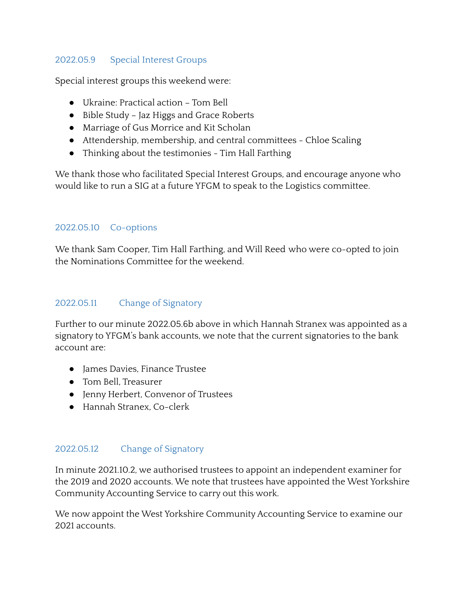# 2022.05.9 Special Interest Groups

Special interest groups this weekend were:

- Ukraine: Practical action Tom Bell
- Bible Study Jaz Higgs and Grace Roberts
- Marriage of Gus Morrice and Kit Scholan
- Attendership, membership, and central committees Chloe Scaling
- Thinking about the testimonies Tim Hall Farthing

We thank those who facilitated Special Interest Groups, and encourage anyone who would like to run a SIG at a future YFGM to speak to the Logistics committee.

# 2022.05.10 Co-options

We thank Sam Cooper, Tim Hall Farthing, and Will Reed who were co-opted to join the Nominations Committee for the weekend.

# 2022.05.11 Change of Signatory

Further to our minute 2022.05.6b above in which Hannah Stranex was appointed as a signatory to YFGM's bank accounts, we note that the current signatories to the bank account are:

- James Davies, Finance Trustee
- Tom Bell, Treasurer
- Jenny Herbert, Convenor of Trustees
- Hannah Stranex, Co-clerk

## 2022.05.12 Change of Signatory

In minute 2021.10.2, we authorised trustees to appoint an independent examiner for the 2019 and 2020 accounts. We note that trustees have appointed the West Yorkshire Community Accounting Service to carry out this work.

We now appoint the West Yorkshire Community Accounting Service to examine our 2021 accounts.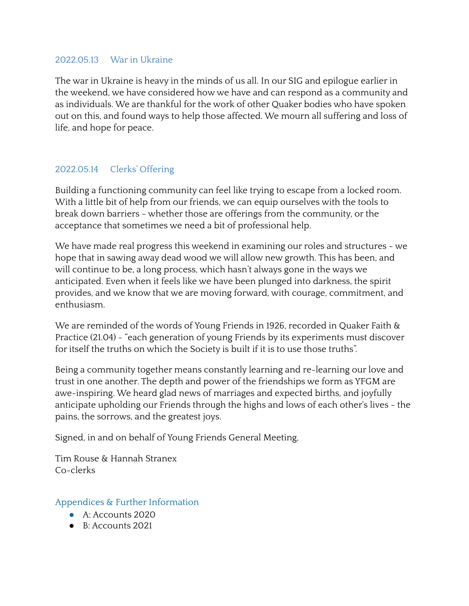### 2022.05.13 War in Ukraine

The war in Ukraine is heavy in the minds of us all. In our SIG and epilogue earlier in the weekend, we have considered how we have and can respond as a community and as individuals. We are thankful for the work of other Quaker bodies who have spoken out on this, and found ways to help those affected. We mourn all suffering and loss of life, and hope for peace.

# 2022.05.14 Clerks' Offering

Building a functioning community can feel like trying to escape from a locked room. With a little bit of help from our friends, we can equip ourselves with the tools to break down barriers - whether those are offerings from the community, or the acceptance that sometimes we need a bit of professional help.

We have made real progress this weekend in examining our roles and structures - we hope that in sawing away dead wood we will allow new growth. This has been, and will continue to be, a long process, which hasn't always gone in the ways we anticipated. Even when it feels like we have been plunged into darkness, the spirit provides, and we know that we are moving forward, with courage, commitment, and enthusiasm.

We are reminded of the words of Young Friends in 1926, recorded in Quaker Faith & Practice (21.04) - "each generation of young Friends by its experiments must discover for itself the truths on which the Society is built if it is to use those truths".

Being a community together means constantly learning and re-learning our love and trust in one another. The depth and power of the friendships we form as YFGM are awe-inspiring. We heard glad news of marriages and expected births, and joyfully anticipate upholding our Friends through the highs and lows of each other's lives - the pains, the sorrows, and the greatest joys.

Signed, in and on behalf of Young Friends General Meeting,

Tim Rouse & Hannah Stranex Co-clerks

Appendices & Further Information

- A: Accounts 2020
- B: Accounts 2021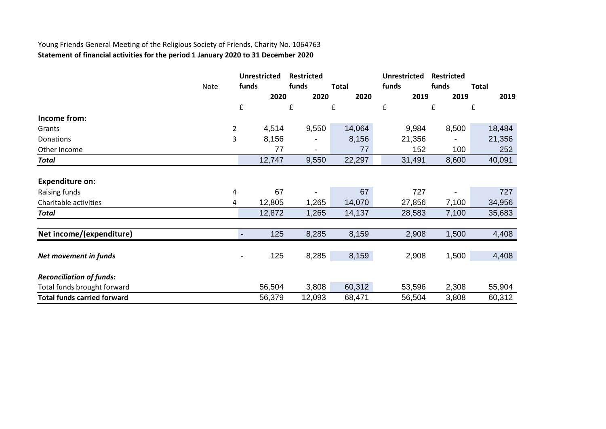# Young Friends General Meeting of the Religious Society of Friends, Charity No. 1064763 **Statement of financial activities for the period 1 January 2020 to 31 December 2020**

|                                    |      |                    | <b>Unrestricted</b> | <b>Restricted</b> |                    | <b>Unrestricted</b> | <b>Restricted</b> |              |
|------------------------------------|------|--------------------|---------------------|-------------------|--------------------|---------------------|-------------------|--------------|
|                                    | Note | funds              |                     | funds             | <b>Total</b>       | funds               | funds             | <b>Total</b> |
|                                    |      |                    | 2020                | 2020              | 2020               | 2019                | 2019              | 2019         |
|                                    |      | $\pmb{\mathsf{f}}$ |                     | £                 | $\pmb{\mathsf{f}}$ | £                   | £                 | £            |
| Income from:                       |      |                    |                     |                   |                    |                     |                   |              |
| Grants                             |      | $\overline{2}$     | 4,514               | 9,550             | 14,064             | 9,984               | 8,500             | 18,484       |
| Donations                          |      | 3                  | 8,156               |                   | 8,156              | 21,356              |                   | 21,356       |
| Other Income                       |      |                    | 77                  | $\blacksquare$    | 77                 | 152                 | 100               | 252          |
| <b>Total</b>                       |      |                    | 12,747              | 9,550             | 22,297             | 31,491              | 8,600             | 40,091       |
|                                    |      |                    |                     |                   |                    |                     |                   |              |
| <b>Expenditure on:</b>             |      |                    |                     |                   |                    |                     |                   |              |
| Raising funds                      |      | 4                  | 67                  |                   | 67                 | 727                 |                   | 727          |
| Charitable activities              |      | 4                  | 12,805              | 1,265             | 14,070             | 27,856              | 7,100             | 34,956       |
| <b>Total</b>                       |      |                    | 12,872              | 1,265             | 14,137             | 28,583              | 7,100             | 35,683       |
| Net income/(expenditure)           |      |                    | 125                 | 8,285             | 8,159              | 2,908               | 1,500             | 4,408        |
|                                    |      |                    |                     |                   |                    |                     |                   |              |
| Net movement in funds              |      |                    | 125                 | 8,285             | 8,159              | 2,908               | 1,500             | 4,408        |
| <b>Reconciliation of funds:</b>    |      |                    |                     |                   |                    |                     |                   |              |
| Total funds brought forward        |      |                    | 56,504              | 3,808             | 60,312             | 53,596              | 2,308             | 55,904       |
| <b>Total funds carried forward</b> |      |                    | 56,379              | 12,093            | 68,471             | 56,504              | 3,808             | 60,312       |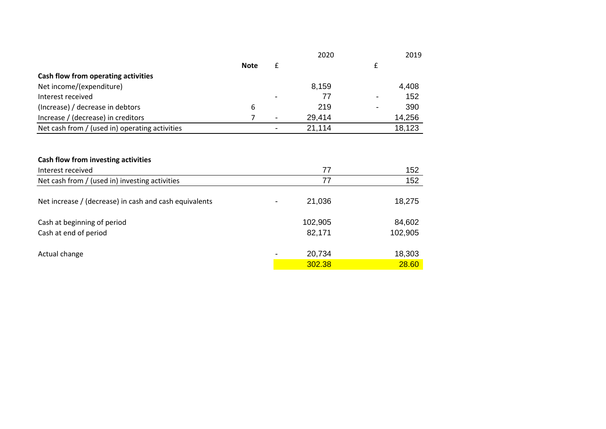|                                                        |             |   | 2020    | 2019     |
|--------------------------------------------------------|-------------|---|---------|----------|
|                                                        | <b>Note</b> | £ |         | £        |
| Cash flow from operating activities                    |             |   |         |          |
| Net income/(expenditure)                               |             |   | 8,159   | 4,408    |
| Interest received                                      |             |   | 77      | 152<br>- |
| (Increase) / decrease in debtors                       | 6           |   | 219     | 390<br>۰ |
| Increase / (decrease) in creditors                     | 7           |   | 29,414  | 14,256   |
| Net cash from / (used in) operating activities         |             |   | 21,114  | 18,123   |
|                                                        |             |   |         |          |
| Cash flow from investing activities                    |             |   |         |          |
| Interest received                                      |             |   | 77      | 152      |
| Net cash from / (used in) investing activities         |             |   | 77      | 152      |
| Net increase / (decrease) in cash and cash equivalents |             |   | 21,036  | 18,275   |
| Cash at beginning of period                            |             |   | 102,905 | 84,602   |
| Cash at end of period                                  |             |   | 82,171  | 102,905  |
| Actual change                                          |             |   | 20,734  | 18,303   |
|                                                        |             |   | 302.38  | 28.60    |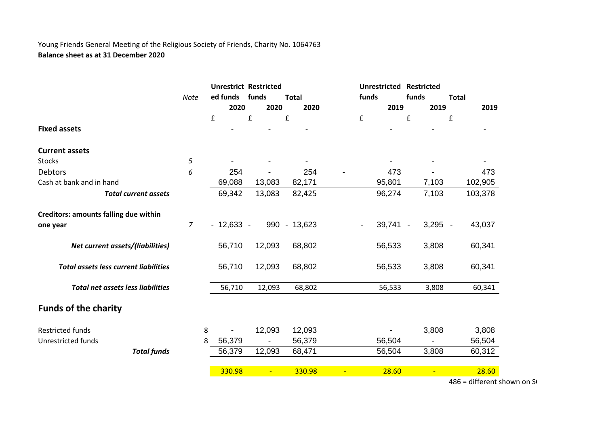### Young Friends General Meeting of the Religious Society of Friends, Charity No. 1064763 **Balance sheet as at 31 December 2020**

|                                              |                    |   | <b>Unrestrict Restricted</b> |                |              |                    | <b>Unrestricted</b> | <b>Restricted</b> |              |
|----------------------------------------------|--------------------|---|------------------------------|----------------|--------------|--------------------|---------------------|-------------------|--------------|
|                                              | Note               |   | ed funds                     | funds          | <b>Total</b> |                    | funds               | funds             | <b>Total</b> |
|                                              |                    |   | 2020                         | 2020           | 2020         |                    | 2019                | 2019              | 2019         |
|                                              |                    |   | £                            | £              | £            | $\pmb{\mathsf{f}}$ |                     | £                 | £            |
| <b>Fixed assets</b>                          |                    |   |                              |                |              |                    |                     |                   |              |
| <b>Current assets</b>                        |                    |   |                              |                |              |                    |                     |                   |              |
| <b>Stocks</b>                                | 5                  |   |                              |                |              |                    |                     |                   |              |
| Debtors                                      | 6                  |   | 254                          |                | 254          |                    | 473                 |                   | 473          |
| Cash at bank and in hand                     |                    |   | 69,088                       | 13,083         | 82,171       |                    | 95,801              | 7,103             | 102,905      |
| <b>Total current assets</b>                  |                    |   | 69,342                       | 13,083         | 82,425       |                    | 96,274              | 7,103             | 103,378      |
| Creditors: amounts falling due within        |                    |   |                              |                |              |                    |                     |                   |              |
| one year                                     | $\overline{7}$     |   | $-12,633 -$                  |                | 990 - 13,623 | $\blacksquare$     | $39,741 -$          | $3,295 -$         | 43,037       |
| Net current assets/(liabilities)             |                    |   | 56,710                       | 12,093         | 68,802       |                    | 56,533              | 3,808             | 60,341       |
| <b>Total assets less current liabilities</b> |                    |   | 56,710                       | 12,093         | 68,802       |                    | 56,533              | 3,808             | 60,341       |
| <b>Total net assets less liabilities</b>     |                    |   | 56,710                       | 12,093         | 68,802       |                    | 56,533              | 3,808             | 60,341       |
| <b>Funds of the charity</b>                  |                    |   |                              |                |              |                    |                     |                   |              |
| <b>Restricted funds</b>                      |                    | 8 | $\overline{\phantom{0}}$     | 12,093         | 12,093       |                    |                     | 3,808             | 3,808        |
| Unrestricted funds                           |                    | 8 | 56,379                       |                | 56,379       |                    | 56,504              |                   | 56,504       |
|                                              | <b>Total funds</b> |   | 56,379                       | 12,093         | 68,471       |                    | 56,504              | 3,808             | 60,312       |
|                                              |                    |   | 330.98                       | $\blacksquare$ | 330.98       |                    | 28.60               |                   | 28.60        |
|                                              |                    |   |                              |                |              |                    |                     |                   |              |

 $486$  = different shown on S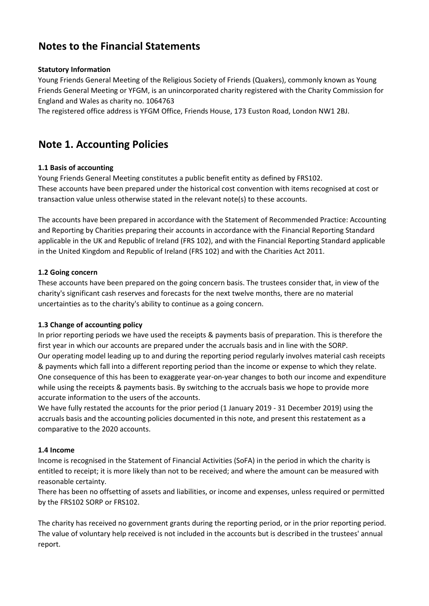# **Notes to the Financial Statements**

### **Statutory Information**

Young Friends General Meeting of the Religious Society of Friends (Quakers), commonly known as Young Friends General Meeting or YFGM, is an unincorporated charity registered with the Charity Commission for England and Wales as charity no. 1064763

The registered office address is YFGM Office, Friends House, 173 Euston Road, London NW1 2BJ.

# **Note 1. Accounting Policies**

### **1.1 Basis of accounting**

Young Friends General Meeting constitutes a public benefit entity as defined by FRS102. These accounts have been prepared under the historical cost convention with items recognised at cost or transaction value unless otherwise stated in the relevant note(s) to these accounts.

The accounts have been prepared in accordance with the Statement of Recommended Practice: Accounting and Reporting by Charities preparing their accounts in accordance with the Financial Reporting Standard applicable in the UK and Republic of Ireland (FRS 102), and with the Financial Reporting Standard applicable in the United Kingdom and Republic of Ireland (FRS 102) and with the Charities Act 2011.

### **1.2 Going concern**

These accounts have been prepared on the going concern basis. The trustees consider that, in view of the charity's significant cash reserves and forecasts for the next twelve months, there are no material uncertainties as to the charity's ability to continue as a going concern.

### **1.3 Change of accounting policy**

In prior reporting periods we have used the receipts & payments basis of preparation. This is therefore the first year in which our accounts are prepared under the accruals basis and in line with the SORP. Our operating model leading up to and during the reporting period regularly involves material cash receipts & payments which fall into a different reporting period than the income or expense to which they relate. One consequence of this has been to exaggerate year-on-year changes to both our income and expenditure while using the receipts & payments basis. By switching to the accruals basis we hope to provide more accurate information to the users of the accounts.

We have fully restated the accounts for the prior period (1 January 2019 - 31 December 2019) using the accruals basis and the accounting policies documented in this note, and present this restatement as a comparative to the 2020 accounts.

#### **1.4 Income**

Income is recognised in the Statement of Financial Activities (SoFA) in the period in which the charity is entitled to receipt; it is more likely than not to be received; and where the amount can be measured with reasonable certainty.

There has been no offsetting of assets and liabilities, or income and expenses, unless required or permitted by the FRS102 SORP or FRS102.

The charity has received no government grants during the reporting period, or in the prior reporting period. The value of voluntary help received is not included in the accounts but is described in the trustees' annual report.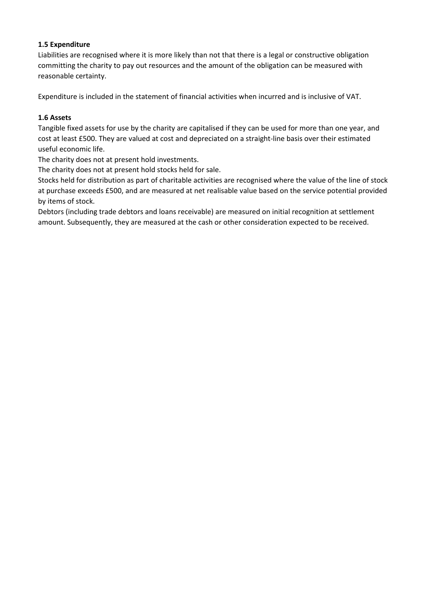### **1.5 Expenditure**

Liabilities are recognised where it is more likely than not that there is a legal or constructive obligation committing the charity to pay out resources and the amount of the obligation can be measured with reasonable certainty.

Expenditure is included in the statement of financial activities when incurred and is inclusive of VAT.

### **1.6 Assets**

Tangible fixed assets for use by the charity are capitalised if they can be used for more than one year, and cost at least £500. They are valued at cost and depreciated on a straight-line basis over their estimated useful economic life.

The charity does not at present hold investments.

The charity does not at present hold stocks held for sale.

Stocks held for distribution as part of charitable activities are recognised where the value of the line of stock at purchase exceeds £500, and are measured at net realisable value based on the service potential provided by items of stock.

Debtors (including trade debtors and loans receivable) are measured on initial recognition at settlement amount. Subsequently, they are measured at the cash or other consideration expected to be received.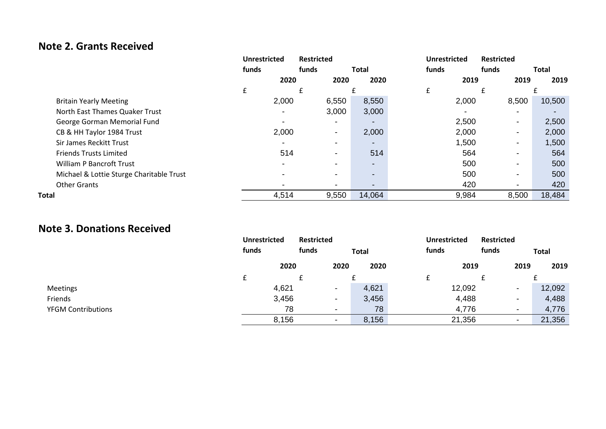# **Note 2. Grants Received**

|                                          | <b>Unrestricted</b> |                          | <b>Restricted</b>        |                          | <b>Unrestricted</b> | <b>Restricted</b>        |              |
|------------------------------------------|---------------------|--------------------------|--------------------------|--------------------------|---------------------|--------------------------|--------------|
|                                          | funds               | funds                    |                          | <b>Total</b>             | funds               | funds                    | <b>Total</b> |
|                                          |                     | 2020                     | 2020                     | 2020                     | 2019                | 2019                     | 2019         |
|                                          | £                   |                          |                          |                          | £                   | £                        |              |
| <b>Britain Yearly Meeting</b>            |                     | 2,000                    | 6,550                    | 8,550                    | 2,000               | 8,500                    | 10,500       |
| North East Thames Quaker Trust           |                     | $\overline{\phantom{a}}$ | 3,000                    | 3,000                    | -                   | ٠                        |              |
| George Gorman Memorial Fund              |                     | $\overline{\phantom{a}}$ |                          |                          | 2,500               | $\blacksquare$           | 2,500        |
| CB & HH Taylor 1984 Trust                |                     | 2,000                    | $\blacksquare$           | 2,000                    | 2,000               | $\overline{\phantom{a}}$ | 2,000        |
| Sir James Reckitt Trust                  |                     | $\blacksquare$           | $\overline{\phantom{a}}$ | $\overline{\phantom{0}}$ | 1,500               | $\overline{\phantom{a}}$ | 1,500        |
| <b>Friends Trusts Limited</b>            |                     | 514                      | $\overline{\phantom{a}}$ | 514                      | 564                 | ٠                        | 564          |
| <b>William P Bancroft Trust</b>          |                     | $\overline{\phantom{a}}$ |                          | $\overline{\phantom{0}}$ | 500                 | $\overline{\phantom{a}}$ | 500          |
| Michael & Lottie Sturge Charitable Trust |                     | $\overline{\phantom{a}}$ | $\overline{\phantom{0}}$ | -                        | 500                 | ٠                        | 500          |
| <b>Other Grants</b>                      |                     | $\overline{\phantom{0}}$ |                          |                          | 420                 | $\blacksquare$           | 420          |
| Total                                    |                     | 4,514                    | 9,550                    | 14,064                   | 9,984               | 8,500                    | 18,484       |

# **Note 3. Donations Received**

|                           | <b>Unrestricted</b> | <b>Restricted</b>        |              | <b>Unrestricted</b> | <b>Restricted</b>        |              |
|---------------------------|---------------------|--------------------------|--------------|---------------------|--------------------------|--------------|
|                           | funds               | funds                    | <b>Total</b> | funds               | funds                    | <b>Total</b> |
|                           | 2020                | 2020                     | 2020         | 2019                | 2019                     | 2019         |
|                           |                     |                          |              |                     |                          |              |
| <b>Meetings</b>           | 4,621               | $\overline{\phantom{0}}$ | 4,621        | 12,092              | $\,$                     | 12,092       |
| Friends                   | 3,456               | $\overline{\phantom{0}}$ | 3,456        | 4,488               | $\,$                     | 4,488        |
| <b>YFGM Contributions</b> | 78                  | $\overline{\phantom{a}}$ | 78           | 4,776               | $\overline{\phantom{0}}$ | 4,776        |
|                           | 8,156               | $\,$                     | 8,156        | 21,356              | ۰                        | 21,356       |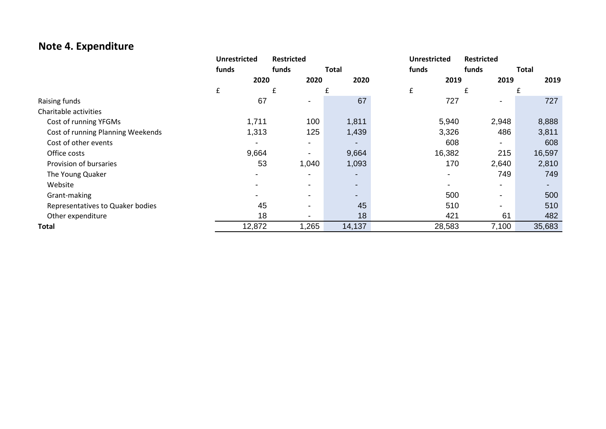# **Note 4. Expenditure**

|                                   | <b>Unrestricted</b> | <b>Restricted</b> |                          | <b>Unrestricted</b>      | <b>Restricted</b>        |              |
|-----------------------------------|---------------------|-------------------|--------------------------|--------------------------|--------------------------|--------------|
|                                   | funds               | funds             | <b>Total</b>             | funds                    | funds                    | <b>Total</b> |
|                                   | 2020                | 2020              | 2020                     | 2019                     | 2019                     | 2019         |
|                                   | £                   | £                 |                          | £                        | £                        |              |
| Raising funds                     | 67                  |                   | 67                       | 727                      |                          | 727          |
| Charitable activities             |                     |                   |                          |                          |                          |              |
| Cost of running YFGMs             | 1,711               | 100               | 1,811                    | 5,940                    | 2,948                    | 8,888        |
| Cost of running Planning Weekends | 1,313               | 125               | 1,439                    | 3,326                    | 486                      | 3,811        |
| Cost of other events              |                     |                   |                          | 608                      |                          | 608          |
| Office costs                      | 9,664               |                   | 9,664                    | 16,382                   | 215                      | 16,597       |
| Provision of bursaries            | 53                  | 1,040             | 1,093                    | 170                      | 2,640                    | 2,810        |
| The Young Quaker                  |                     |                   | $\overline{\phantom{a}}$ | $\overline{\phantom{a}}$ | 749                      | 749          |
| Website                           |                     |                   | $\blacksquare$           | -                        | $\overline{\phantom{0}}$ |              |
| Grant-making                      |                     |                   | $\blacksquare$           | 500                      | -                        | 500          |
| Representatives to Quaker bodies  | 45                  |                   | 45                       | 510                      | $\overline{\phantom{0}}$ | 510          |
| Other expenditure                 | 18                  |                   | 18                       | 421                      | 61                       | 482          |
| <b>Total</b>                      | 12,872              | 1,265             | 14,137                   | 28,583                   | 7,100                    | 35,683       |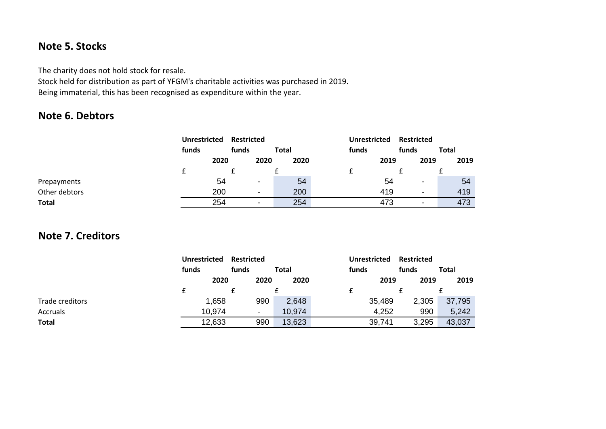# **Note 5. Stocks**

The charity does not hold stock for resale.

Stock held for distribution as part of YFGM's charitable activities was purchased in 2019. Being immaterial, this has been recognised as expenditure within the year.

# **Note 6. Debtors**

|               | <b>Unrestricted</b> | <b>Restricted</b> |                |              | <b>Unrestricted</b> | <b>Restricted</b>        |              |
|---------------|---------------------|-------------------|----------------|--------------|---------------------|--------------------------|--------------|
|               | funds               | funds             |                | <b>Total</b> | funds               | funds                    | <b>Total</b> |
|               | 2020                |                   | 2020           | 2020         | 2019                | 2019                     | 2019         |
|               |                     |                   |                |              |                     |                          |              |
| Prepayments   |                     | 54                | $\blacksquare$ | 54           | 54                  | $\overline{\phantom{0}}$ | 54           |
| Other debtors | 200                 |                   | $\blacksquare$ | 200          | 419                 | $\overline{\phantom{0}}$ | 419          |
| <b>Total</b>  | 254                 |                   | $\blacksquare$ | 254          | 473                 | $\overline{\phantom{a}}$ | 473          |

# **Note 7. Creditors**

|                 | <b>Unrestricted</b> | <b>Restricted</b>        |        | <b>Unrestricted</b> | <b>Restricted</b> |              |
|-----------------|---------------------|--------------------------|--------|---------------------|-------------------|--------------|
|                 | funds               | funds                    | Total  | funds               | funds             | <b>Total</b> |
|                 | 2020                | 2020                     | 2020   | 2019                | 2019              | 2019         |
|                 |                     |                          |        |                     |                   |              |
| Trade creditors | 1,658               | 990                      | 2,648  | 35,489              | 2,305             | 37,795       |
| <b>Accruals</b> | 10,974              | $\overline{\phantom{0}}$ | 10,974 | 4,252               | 990               | 5,242        |
| Total           | 12,633              | 990                      | 13,623 | 39,741              | 3,295             | 43,037       |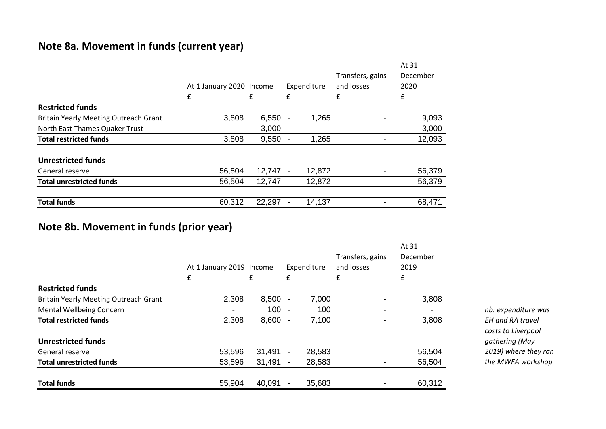# **Note 8a. Movement in funds (current year)**

|                                              | At 1 January 2020 Income<br>£ | £         | £ | Expenditure | Transfers, gains<br>and losses<br>£ | At 31<br>December<br>2020<br>£ |
|----------------------------------------------|-------------------------------|-----------|---|-------------|-------------------------------------|--------------------------------|
| <b>Restricted funds</b>                      |                               |           |   |             |                                     |                                |
| <b>Britain Yearly Meeting Outreach Grant</b> | 3,808                         | $6,550 -$ |   | 1,265       |                                     | 9,093                          |
| North East Thames Quaker Trust               |                               | 3,000     |   |             |                                     | 3,000                          |
| <b>Total restricted funds</b>                | 3,808                         | 9,550     |   | 1,265       |                                     | 12,093                         |
| <b>Unrestricted funds</b>                    |                               |           |   |             |                                     |                                |
| General reserve                              | 56,504                        | 12,747    |   | 12,872      |                                     | 56,379                         |
| <b>Total unrestricted funds</b>              | 56,504                        | 12,747    |   | 12,872      |                                     | 56,379                         |
| <b>Total funds</b>                           | 60,312                        | 22,297    |   | 14,137      |                                     | 68,471                         |

# **Note 8b. Movement in funds (prior year)**

|                                              | At 1 January 2019 Income<br>£ | £      | £                        | Expenditure | Transfers, gains<br>and losses<br>£ | At 31<br>December<br>2019<br>£ |
|----------------------------------------------|-------------------------------|--------|--------------------------|-------------|-------------------------------------|--------------------------------|
| <b>Restricted funds</b>                      |                               |        |                          |             |                                     |                                |
| <b>Britain Yearly Meeting Outreach Grant</b> | 2,308                         | 8,500  |                          | 7,000       |                                     | 3,808                          |
| <b>Mental Wellbeing Concern</b>              |                               | 100    |                          | 100         |                                     |                                |
| <b>Total restricted funds</b>                | 2,308                         | 8,600  |                          | 7,100       |                                     | 3,808                          |
| <b>Unrestricted funds</b>                    |                               |        |                          |             |                                     |                                |
| General reserve                              | 53,596                        | 31,491 |                          | 28,583      |                                     | 56,504                         |
| <b>Total unrestricted funds</b>              | 53,596                        | 31,491 | $\overline{\phantom{a}}$ | 28,583      |                                     | 56,504                         |
| <b>Total funds</b>                           | 55,904                        | 40,091 |                          | 35,683      |                                     | 60,312                         |

*nb: expenditure was EH and RA travel costs to Liverpool gathering (May 2019) where they ran the MWFA workshop*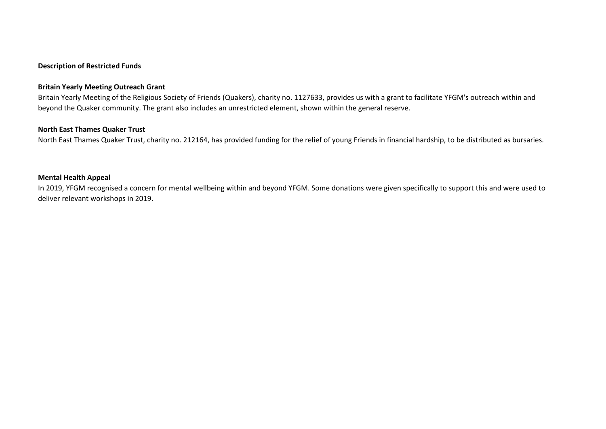#### **Description of Restricted Funds**

#### **Britain Yearly Meeting Outreach Grant**

Britain Yearly Meeting of the Religious Society of Friends (Quakers), charity no. 1127633, provides us with a grant to facilitate YFGM's outreach within and beyond the Quaker community. The grant also includes an unrestricted element, shown within the general reserve.

#### **North East Thames Quaker Trust**

North East Thames Quaker Trust, charity no. 212164, has provided funding for the relief of young Friends in financial hardship, to be distributed as bursaries.

### **Mental Health Appeal**

In 2019, YFGM recognised a concern for mental wellbeing within and beyond YFGM. Some donations were given specifically to support this and were used to deliver relevant workshops in 2019.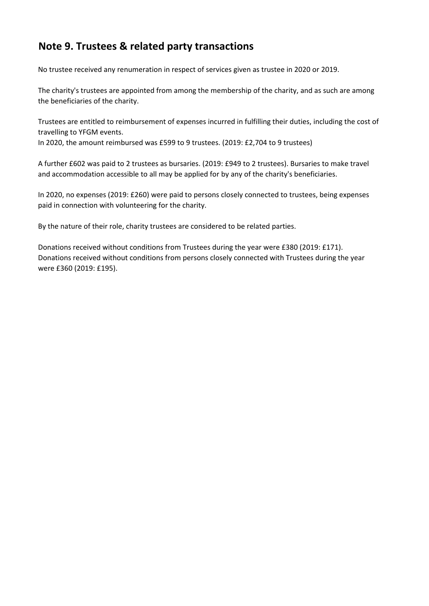# **Note 9. Trustees & related party transactions**

No trustee received any renumeration in respect of services given as trustee in 2020 or 2019.

The charity's trustees are appointed from among the membership of the charity, and as such are among the beneficiaries of the charity.

Trustees are entitled to reimbursement of expenses incurred in fulfilling their duties, including the cost of travelling to YFGM events.

In 2020, the amount reimbursed was £599 to 9 trustees. (2019: £2,704 to 9 trustees)

A further £602 was paid to 2 trustees as bursaries. (2019: £949 to 2 trustees). Bursaries to make travel and accommodation accessible to all may be applied for by any of the charity's beneficiaries.

In 2020, no expenses (2019: £260) were paid to persons closely connected to trustees, being expenses paid in connection with volunteering for the charity.

By the nature of their role, charity trustees are considered to be related parties.

Donations received without conditions from Trustees during the year were £380 (2019: £171). Donations received without conditions from persons closely connected with Trustees during the year were £360 (2019: £195).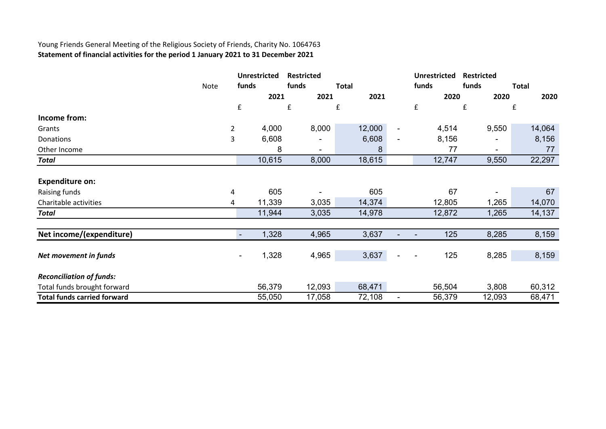### Young Friends General Meeting of the Religious Society of Friends, Charity No. 1064763 **Statement of financial activities for the period 1 January 2021 to 31 December 2021**

|                                    |      |                | <b>Unrestricted</b> | <b>Restricted</b> |                |              |        |                          | <b>Unrestricted</b> | <b>Restricted</b> |              |
|------------------------------------|------|----------------|---------------------|-------------------|----------------|--------------|--------|--------------------------|---------------------|-------------------|--------------|
|                                    | Note | funds          |                     | funds             |                | <b>Total</b> |        |                          | funds               | funds             | <b>Total</b> |
|                                    |      |                | 2021                |                   | 2021           |              | 2021   |                          | 2020                | 2020              | 2020         |
|                                    |      | £              |                     | £                 |                | £            |        |                          | £                   | £                 | £            |
| Income from:                       |      |                |                     |                   |                |              |        |                          |                     |                   |              |
| Grants                             |      | $\overline{2}$ | 4,000               |                   | 8,000          |              | 12,000 | $\overline{\phantom{a}}$ | 4,514               | 9,550             | 14,064       |
| Donations                          |      | 3              | 6,608               |                   |                |              | 6,608  |                          | 8,156               |                   | 8,156        |
| Other Income                       |      |                | 8                   |                   | $\blacksquare$ |              | 8      |                          | 77                  | ۰                 | 77           |
| <b>Total</b>                       |      |                | 10,615              |                   | 8,000          |              | 18,615 |                          | 12,747              | 9,550             | 22,297       |
| <b>Expenditure on:</b>             |      |                |                     |                   |                |              |        |                          |                     |                   |              |
| Raising funds                      |      | 4              | 605                 |                   |                |              | 605    |                          | 67                  |                   | 67           |
| Charitable activities              |      | 4              | 11,339              |                   | 3,035          |              | 14,374 |                          | 12,805              | 1,265             | 14,070       |
| <b>Total</b>                       |      |                | 11,944              |                   | 3,035          |              | 14,978 |                          | 12,872              | 1,265             | 14,137       |
| Net income/(expenditure)           |      |                | 1,328               |                   | 4,965          |              | 3,637  |                          | 125                 | 8,285             | 8,159        |
|                                    |      |                |                     |                   |                |              |        |                          |                     |                   |              |
| Net movement in funds              |      |                | 1,328               |                   | 4,965          |              | 3,637  |                          | 125                 | 8,285             | 8,159        |
| <b>Reconciliation of funds:</b>    |      |                |                     |                   |                |              |        |                          |                     |                   |              |
| Total funds brought forward        |      |                | 56,379              |                   | 12,093         |              | 68,471 |                          | 56,504              | 3,808             | 60,312       |
| <b>Total funds carried forward</b> |      |                | 55,050              |                   | 17,058         |              | 72,108 |                          | 56,379              | 12,093            | 68,471       |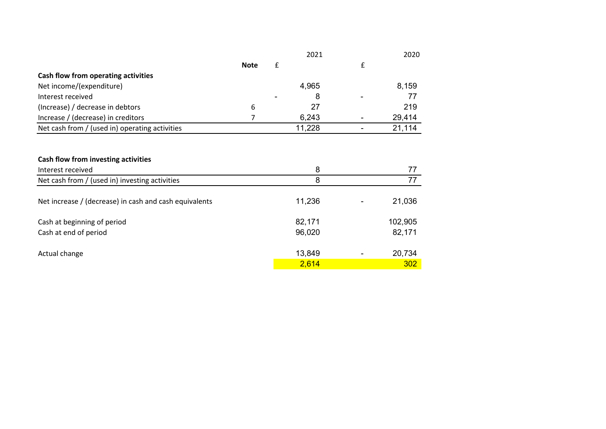|                                                        |             | 2021   |   | 2020    |
|--------------------------------------------------------|-------------|--------|---|---------|
|                                                        | <b>Note</b> | £      | £ |         |
| Cash flow from operating activities                    |             |        |   |         |
| Net income/(expenditure)                               |             | 4,965  |   | 8,159   |
| Interest received                                      |             | 8      |   | 77      |
| (Increase) / decrease in debtors                       | 6           | 27     |   | 219     |
| Increase / (decrease) in creditors                     | 7           | 6,243  |   | 29,414  |
| Net cash from / (used in) operating activities         |             | 11,228 |   | 21,114  |
|                                                        |             |        |   |         |
| Cash flow from investing activities                    |             |        |   |         |
| Interest received                                      |             | 8      |   | 77      |
| Net cash from / (used in) investing activities         |             | 8      |   | 77      |
| Net increase / (decrease) in cash and cash equivalents |             | 11,236 |   | 21,036  |
| Cash at beginning of period                            |             | 82,171 |   | 102,905 |
| Cash at end of period                                  |             | 96,020 |   | 82,171  |
| Actual change                                          |             | 13,849 |   | 20,734  |
|                                                        |             | 2,614  |   | 302     |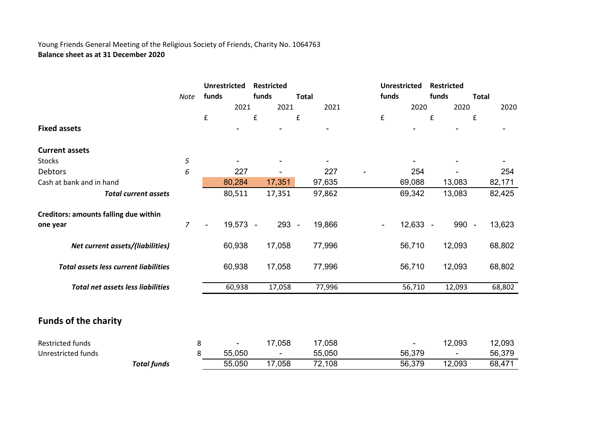### Young Friends General Meeting of the Religious Society of Friends, Charity No. 1064763 **Balance sheet as at 31 December 2020**

|                                              |                |                | <b>Unrestricted</b> | <b>Restricted</b> |                          | <b>Unrestricted</b> | <b>Restricted</b> |              |
|----------------------------------------------|----------------|----------------|---------------------|-------------------|--------------------------|---------------------|-------------------|--------------|
|                                              | <b>Note</b>    | funds          |                     | funds             | <b>Total</b>             | funds               | funds             | <b>Total</b> |
|                                              |                |                | 2021                | 2021              | 2021                     | 2020                | 2020              | 2020         |
|                                              |                | £              |                     | £                 | £                        | £                   | £                 | £            |
| <b>Fixed assets</b>                          |                |                |                     |                   | -                        |                     |                   |              |
| <b>Current assets</b>                        |                |                |                     |                   |                          |                     |                   |              |
| Stocks                                       | 5              |                |                     |                   | $\overline{\phantom{0}}$ |                     |                   |              |
| Debtors                                      | 6              |                | 227                 |                   | 227                      | 254                 |                   | 254          |
| Cash at bank and in hand                     |                |                | 80,284              | 17,351            | 97,635                   | 69,088              | 13,083            | 82,171       |
| <b>Total current assets</b>                  |                |                | 80,511              | 17,351            | 97,862                   | 69,342              | 13,083            | 82,425       |
| Creditors: amounts falling due within        |                |                |                     |                   |                          |                     |                   |              |
| one year                                     | $\overline{7}$ | $\blacksquare$ | 19,573 -            | 293 -             | 19,866                   | $12,633 -$          | 990 -             | 13,623       |
| Net current assets/(liabilities)             |                |                | 60,938              | 17,058            | 77,996                   | 56,710              | 12,093            | 68,802       |
| <b>Total assets less current liabilities</b> |                |                | 60,938              | 17,058            | 77,996                   | 56,710              | 12,093            | 68,802       |
| <b>Total net assets less liabilities</b>     |                |                | 60,938              | 17,058            | 77,996                   | 56,710              | 12,093            | 68,802       |
| <b>Funds of the charity</b>                  |                |                |                     |                   |                          |                     |                   |              |
|                                              |                |                |                     |                   |                          |                     |                   |              |
| <b>Restricted funds</b>                      |                | 8              |                     | 17,058            | 17,058                   |                     | 12,093            | 12,093       |
| <b>Unrestricted funds</b>                    |                | 8              | 55,050              |                   | 55,050                   | 56,379              |                   | 56,379       |
| <b>Total funds</b>                           |                |                | 55,050              | 17,058            | 72,108                   | 56,379              | 12,093            | 68,471       |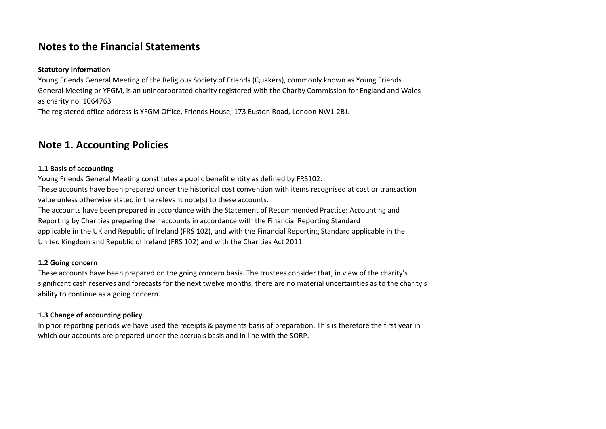# **Notes to the Financial Statements**

#### **Statutory Information**

Young Friends General Meeting of the Religious Society of Friends (Quakers), commonly known as Young Friends General Meeting or YFGM, is an unincorporated charity registered with the Charity Commission for England and Wales as charity no. 1064763

The registered office address is YFGM Office, Friends House, 173 Euston Road, London NW1 2BJ.

# **Note 1. Accounting Policies**

### **1.1 Basis of accounting**

Young Friends General Meeting constitutes a public benefit entity as defined by FRS102. These accounts have been prepared under the historical cost convention with items recognised at cost or transaction value unless otherwise stated in the relevant note(s) to these accounts. The accounts have been prepared in accordance with the Statement of Recommended Practice: Accounting and Reporting by Charities preparing their accounts in accordance with the Financial Reporting Standard applicable in the UK and Republic of Ireland (FRS 102), and with the Financial Reporting Standard applicable in the United Kingdom and Republic of Ireland (FRS 102) and with the Charities Act 2011.

#### **1.2 Going concern**

These accounts have been prepared on the going concern basis. The trustees consider that, in view of the charity's significant cash reserves and forecasts for the next twelve months, there are no material uncertainties as to the charity's ability to continue as a going concern.

#### **1.3 Change of accounting policy**

In prior reporting periods we have used the receipts & payments basis of preparation. This is therefore the first year in which our accounts are prepared under the accruals basis and in line with the SORP.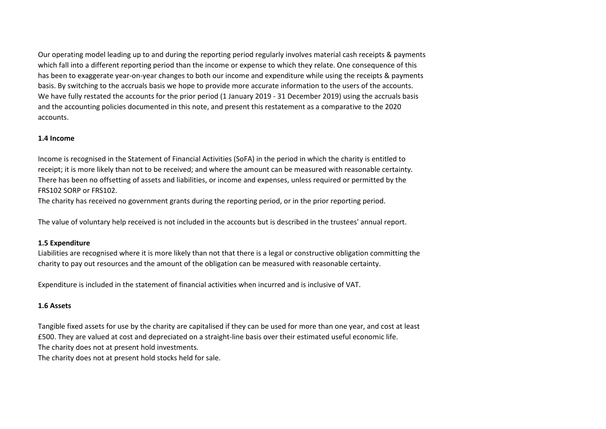Our operating model leading up to and during the reporting period regularly involves material cash receipts & payments which fall into a different reporting period than the income or expense to which they relate. One consequence of this has been to exaggerate year-on-year changes to both our income and expenditure while using the receipts & payments basis. By switching to the accruals basis we hope to provide more accurate information to the users of the accounts. We have fully restated the accounts for the prior period (1 January 2019 - 31 December 2019) using the accruals basis and the accounting policies documented in this note, and present this restatement as a comparative to the 2020 accounts.

#### **1.4 Income**

Income is recognised in the Statement of Financial Activities (SoFA) in the period in which the charity is entitled to receipt; it is more likely than not to be received; and where the amount can be measured with reasonable certainty. There has been no offsetting of assets and liabilities, or income and expenses, unless required or permitted by the FRS102 SORP or FRS102.

The charity has received no government grants during the reporting period, or in the prior reporting period.

The value of voluntary help received is not included in the accounts but is described in the trustees' annual report.

#### **1.5 Expenditure**

Liabilities are recognised where it is more likely than not that there is a legal or constructive obligation committing the charity to pay out resources and the amount of the obligation can be measured with reasonable certainty.

Expenditure is included in the statement of financial activities when incurred and is inclusive of VAT.

### **1.6 Assets**

Tangible fixed assets for use by the charity are capitalised if they can be used for more than one year, and cost at least £500. They are valued at cost and depreciated on a straight-line basis over their estimated useful economic life. The charity does not at present hold investments. The charity does not at present hold stocks held for sale.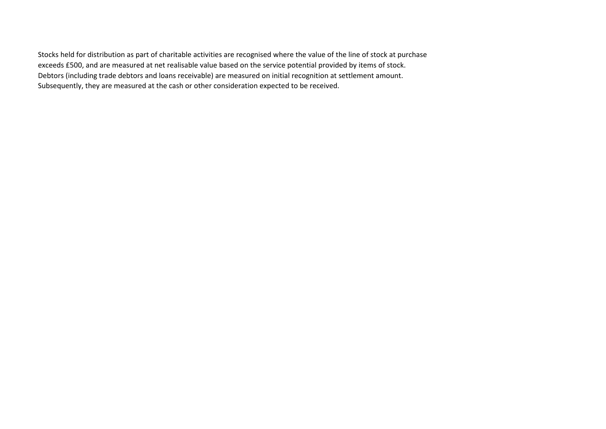Stocks held for distribution as part of charitable activities are recognised where the value of the line of stock at purchase exceeds £500, and are measured at net realisable value based on the service potential provided by items of stock. Debtors (including trade debtors and loans receivable) are measured on initial recognition at settlement amount. Subsequently, they are measured at the cash or other consideration expected to be received.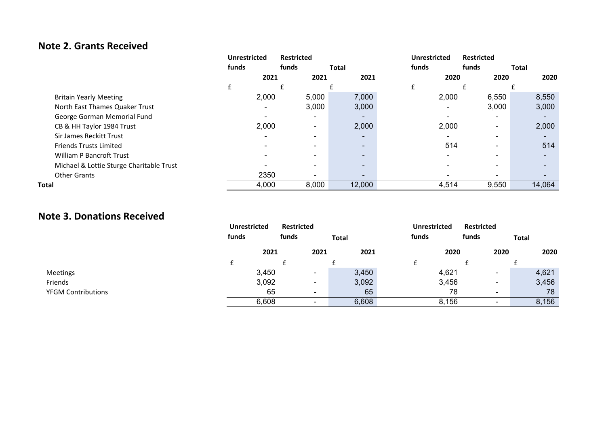# **Note 2. Grants Received**

|                                          | <b>Unrestricted</b> |                          | <b>Restricted</b>        |                          | <b>Unrestricted</b> | <b>Restricted</b> |              |  |
|------------------------------------------|---------------------|--------------------------|--------------------------|--------------------------|---------------------|-------------------|--------------|--|
|                                          | funds               | funds                    |                          | <b>Total</b>             | funds               | funds             | <b>Total</b> |  |
|                                          |                     | 2021                     | 2021                     | 2021                     | 2020                | 2020              | 2020         |  |
|                                          | £                   |                          |                          |                          | £                   |                   |              |  |
| <b>Britain Yearly Meeting</b>            |                     | 2,000                    | 5,000                    | 7,000                    | 2,000               | 6,550             | 8,550        |  |
| North East Thames Quaker Trust           |                     | $\blacksquare$           | 3,000                    | 3,000                    |                     | 3,000             | 3,000        |  |
| George Gorman Memorial Fund              |                     |                          | $\blacksquare$           |                          |                     |                   |              |  |
| CB & HH Taylor 1984 Trust                |                     | 2,000                    | $\overline{\phantom{0}}$ | 2,000                    | 2,000               |                   | 2,000        |  |
| Sir James Reckitt Trust                  |                     | $\overline{\phantom{a}}$ | $\overline{\phantom{0}}$ | $\overline{\phantom{a}}$ |                     |                   |              |  |
| <b>Friends Trusts Limited</b>            |                     |                          | $\overline{\phantom{0}}$ |                          | 514                 |                   | 514          |  |
| <b>William P Bancroft Trust</b>          |                     |                          | $\overline{\phantom{0}}$ | -                        |                     |                   |              |  |
| Michael & Lottie Sturge Charitable Trust |                     |                          | $\overline{\phantom{0}}$ |                          |                     |                   |              |  |
| <b>Other Grants</b>                      |                     | 2350                     | $\overline{\phantom{0}}$ |                          |                     |                   |              |  |
| Total                                    |                     | 4,000                    | 8,000                    | 12,000                   | 4,514               | 9,550             | 14,064       |  |

### **Note 3. Donations Received**

|                           | <b>Unrestricted</b><br>funds | <b>Restricted</b><br>funds | <b>Total</b> | <b>Unrestricted</b><br>funds | <b>Restricted</b><br>funds | <b>Total</b> |
|---------------------------|------------------------------|----------------------------|--------------|------------------------------|----------------------------|--------------|
|                           | 2021                         | 2021                       | 2021         | 2020                         | 2020                       | 2020         |
|                           |                              |                            |              |                              |                            |              |
| <b>Meetings</b>           | 3,450                        | $\overline{\phantom{0}}$   | 3,450        | 4,621                        | $\overline{\phantom{0}}$   | 4,621        |
| Friends                   | 3,092                        | $\overline{\phantom{0}}$   | 3,092        | 3,456                        | $\overline{\phantom{0}}$   | 3,456        |
| <b>YFGM Contributions</b> | 65                           | $\overline{\phantom{0}}$   | 65           | 78                           | $\overline{\phantom{0}}$   | 78           |
|                           | 6,608                        | $\overline{\phantom{0}}$   | 6,608        | 8,156                        | $\overline{\phantom{0}}$   | 8,156        |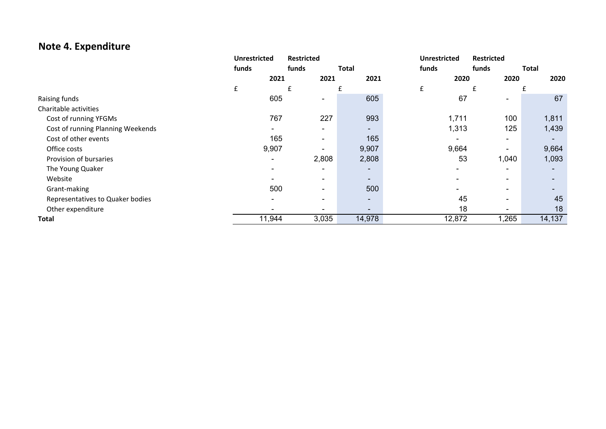# **Note 4. Expenditure**

|                                   | <b>Unrestricted</b> | <b>Restricted</b>        |                          | <b>Unrestricted</b> | <b>Restricted</b>        |              |
|-----------------------------------|---------------------|--------------------------|--------------------------|---------------------|--------------------------|--------------|
|                                   | funds               | funds                    | <b>Total</b>             | funds               | funds                    | <b>Total</b> |
|                                   | 2021                | 2021                     | 2021                     | 2020                | 2020                     | 2020         |
|                                   | £                   |                          |                          | £                   |                          |              |
| Raising funds                     | 605                 | $\blacksquare$           | 605                      | 67                  | $\blacksquare$           | 67           |
| Charitable activities             |                     |                          |                          |                     |                          |              |
| Cost of running YFGMs             | 767                 | 227                      | 993                      | 1,711               | 100                      | 1,811        |
| Cost of running Planning Weekends | $\blacksquare$      | $\blacksquare$           | -                        | 1,313               | 125                      | 1,439        |
| Cost of other events              | 165                 | $\overline{\phantom{a}}$ | 165                      |                     | $\overline{\phantom{0}}$ |              |
| Office costs                      | 9,907               | $\overline{\phantom{a}}$ | 9,907                    | 9,664               | $\overline{\phantom{0}}$ | 9,664        |
| Provision of bursaries            |                     | 2,808                    | 2,808                    | 53                  | 1,040                    | 1,093        |
| The Young Quaker                  |                     | $\overline{\phantom{0}}$ | -                        |                     |                          |              |
| Website                           |                     | $\blacksquare$           | $\sim$                   |                     | $\overline{\phantom{0}}$ |              |
| Grant-making                      | 500                 | $\overline{\phantom{0}}$ | 500                      |                     | $\overline{\phantom{0}}$ |              |
| Representatives to Quaker bodies  |                     | $\overline{\phantom{0}}$ | $\overline{\phantom{0}}$ | 45                  | $\overline{\phantom{0}}$ | 45           |
| Other expenditure                 |                     | $\overline{\phantom{0}}$ | $\blacksquare$           | 18                  | $\overline{\phantom{0}}$ | 18           |
| <b>Total</b>                      | 11,944              | 3,035                    | 14,978                   | 12,872              | 1,265                    | 14,137       |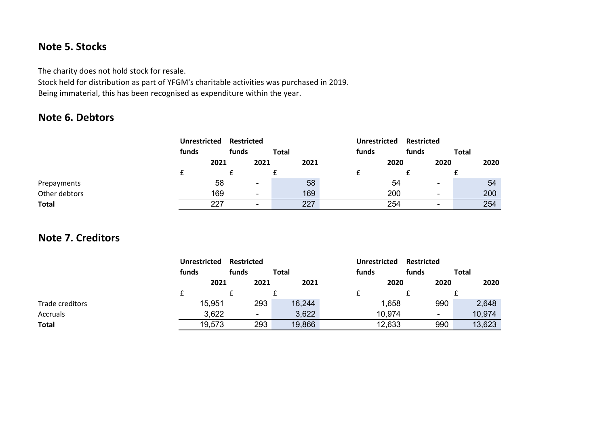# **Note 5. Stocks**

The charity does not hold stock for resale.

Stock held for distribution as part of YFGM's charitable activities was purchased in 2019. Being immaterial, this has been recognised as expenditure within the year.

# **Note 6. Debtors**

|               | <b>Unrestricted</b> |      | <b>Restricted</b> |                          |              |      | <b>Unrestricted</b> |      | <b>Restricted</b> |                          |              |      |
|---------------|---------------------|------|-------------------|--------------------------|--------------|------|---------------------|------|-------------------|--------------------------|--------------|------|
|               | funds               |      | funds             |                          | <b>Total</b> |      | funds               |      | funds             |                          | <b>Total</b> |      |
|               |                     | 2021 |                   | 2021                     |              | 2021 |                     | 2020 |                   | 2020                     |              | 2020 |
|               |                     |      |                   |                          |              |      |                     |      |                   |                          |              |      |
| Prepayments   |                     | 58   |                   | $\overline{\phantom{0}}$ |              | 58   |                     | 54   |                   | $\blacksquare$           |              | 54   |
| Other debtors |                     | 169  |                   | -                        |              | 169  |                     | 200  |                   | $\overline{\phantom{a}}$ |              | 200  |
| Total         |                     | 227  |                   | -                        |              | 227  |                     | 254  |                   |                          |              | 254  |

# **Note 7. Creditors**

|                 | <b>Unrestricted</b> |        | <b>Restricted</b> |              |        | Unrestricted |        | <b>Restricted</b> |      |       |        |
|-----------------|---------------------|--------|-------------------|--------------|--------|--------------|--------|-------------------|------|-------|--------|
|                 | funds               |        | funds             | <b>Total</b> |        | funds        |        | funds             |      | Total |        |
|                 |                     | 2021   | 2021              |              | 2021   |              | 2020   |                   | 2020 |       | 2020   |
|                 |                     |        |                   |              |        |              |        |                   |      |       |        |
| Trade creditors |                     | 15,951 | 293               |              | 16,244 |              | 1,658  |                   | 990  |       | 2,648  |
| Accruals        |                     | 3,622  | ٠                 |              | 3,622  |              | 10,974 |                   | ۰    |       | 10,974 |
| <b>Total</b>    |                     | 19,573 | 293               |              | 19,866 |              | 12,633 |                   | 990  |       | 13,623 |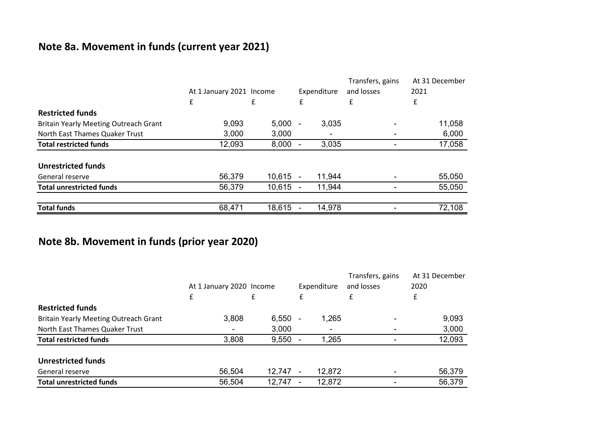# **Note 8a. Movement in funds (current year 2021)**

|                                              |                          |            |             |        | Transfers, gains | At 31 December |
|----------------------------------------------|--------------------------|------------|-------------|--------|------------------|----------------|
|                                              | At 1 January 2021 Income |            | Expenditure |        | and losses       | 2021           |
|                                              | £                        | £          | £           |        | £                | £              |
| <b>Restricted funds</b>                      |                          |            |             |        |                  |                |
| <b>Britain Yearly Meeting Outreach Grant</b> | 9,093                    | $5,000 -$  |             | 3,035  |                  | 11,058         |
| North East Thames Quaker Trust               | 3,000                    | 3,000      |             |        |                  | 6,000          |
| <b>Total restricted funds</b>                | 12,093                   | 8,000      |             | 3,035  |                  | 17,058         |
| <b>Unrestricted funds</b>                    |                          |            |             |        |                  |                |
| General reserve                              | 56,379                   | $10,615 -$ |             | 11,944 |                  | 55,050         |
| <b>Total unrestricted funds</b>              | 56,379                   | 10,615     | $\sim$      | 11,944 |                  | 55,050         |
| <b>Total funds</b>                           | 68,471                   | 18,615     |             | 14,978 |                  | 72,108         |

# **Note 8b. Movement in funds (prior year 2020)**

|                                              |                          |           |             |        | Transfers, gains | At 31 December |
|----------------------------------------------|--------------------------|-----------|-------------|--------|------------------|----------------|
|                                              | At 1 January 2020 Income |           | Expenditure |        | and losses       | 2020           |
|                                              | £                        | £         |             |        | £                | £              |
| <b>Restricted funds</b>                      |                          |           |             |        |                  |                |
| <b>Britain Yearly Meeting Outreach Grant</b> | 3,808                    | $6,550 -$ |             | 1,265  |                  | 9,093          |
| North East Thames Quaker Trust               | ٠                        | 3,000     |             |        |                  | 3,000          |
| <b>Total restricted funds</b>                | 3,808                    | $9,550 -$ |             | 1,265  |                  | 12,093         |
| <b>Unrestricted funds</b>                    |                          |           |             |        |                  |                |
| General reserve                              | 56,504                   | 12,747    |             | 12,872 |                  | 56,379         |
| <b>Total unrestricted funds</b>              | 56,504                   | 12,747    |             | 12,872 |                  | 56,379         |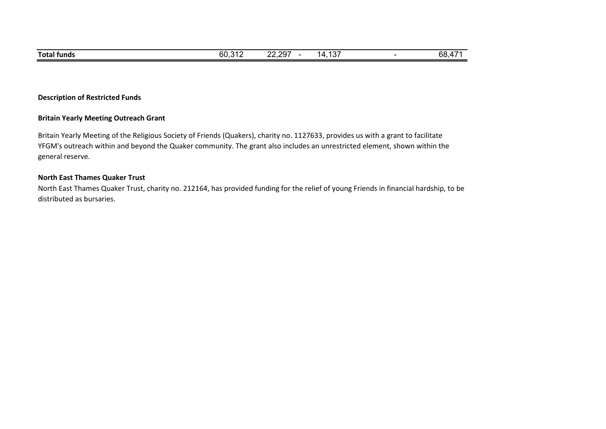### **Description of Restricted Funds**

#### **Britain Yearly Meeting Outreach Grant**

Britain Yearly Meeting of the Religious Society of Friends (Quakers), charity no. 1127633, provides us with a grant to facilitate YFGM's outreach within and beyond the Quaker community. The grant also includes an unrestricted element, shown within the general reserve.

### **North East Thames Quaker Trust**

North East Thames Quaker Trust, charity no. 212164, has provided funding for the relief of young Friends in financial hardship, to be distributed as bursaries.